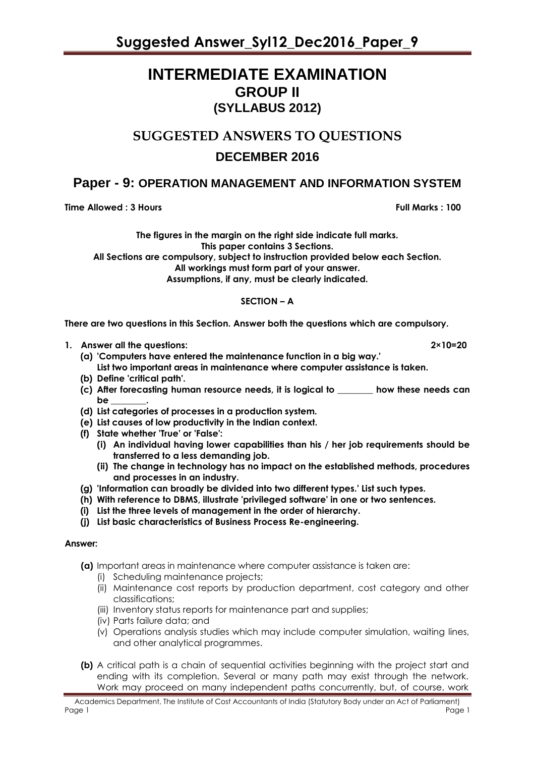### **INTERMEDIATE EXAMINATION GROUP II (SYLLABUS 2012)**

# **SUGGESTED ANSWERS TO QUESTIONS DECEMBER 2016**

### **Paper - 9: OPERATION MANAGEMENT AND INFORMATION SYSTEM**

**Time Allowed : 3 Hours Full Marks** : 100

**The figures in the margin on the right side indicate full marks. This paper contains 3 Sections.**

**All Sections are compulsory, subject to instruction provided below each Section.**

**All workings must form part of your answer.**

**Assumptions, if any, must be clearly indicated.**

#### **SECTION – A**

**There are two questions in this Section. Answer both the questions which are compulsory.**

- **1. Answer all the questions: 2×10=20**
	-
	- **(a) 'Computers have entered the maintenance function in a big way.' List two important areas in maintenance where computer assistance is taken.**
	- **(b) Define 'critical path'.**
	- **(c) After forecasting human resource needs, it is logical to \_\_\_\_\_\_\_\_ how these needs can be \_\_\_\_\_\_\_\_.**
	- **(d) List categories of processes in a production system.**
	- **(e) List causes of low productivity in the Indian context.**
	- **(f) State whether 'True' or 'False':**
		- **(i) An individual having lower capabilities than his / her job requirements should be transferred to a less demanding job.**
		- **(ii) The change in technology has no impact on the established methods, procedures and processes in an industry.**
	- **(g) 'Information can broadly be divided into two different types.' List such types.**
	- **(h) With reference to DBMS, illustrate 'privileged software' in one or two sentences.**
	- **(i) List the three levels of management in the order of hierarchy.**
	- **(j) List basic characteristics of Business Process Re-engineering.**

#### **Answer:**

- **(a)** Important areas in maintenance where computer assistance is taken are:
	- (i) Scheduling maintenance projects;
	- (ii) Maintenance cost reports by production department, cost category and other classifications;
	- (iii) Inventory status reports for maintenance part and supplies;
	- (iv) Parts failure data; and
	- (v) Operations analysis studies which may include computer simulation, waiting lines, and other analytical programmes.
- **(b)** A critical path is a chain of sequential activities beginning with the project start and ending with its completion. Several or many path may exist through the network. Work may proceed on many independent paths concurrently, but, of course, work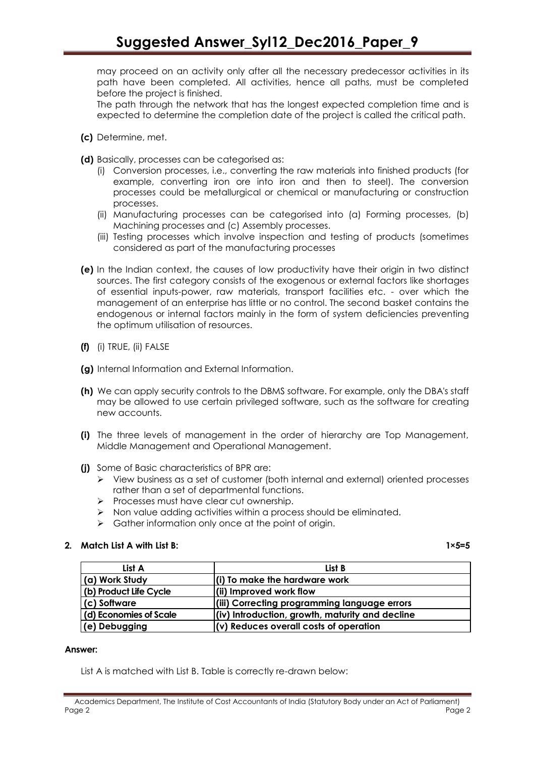may proceed on an activity only after all the necessary predecessor activities in its path have been completed. All activities, hence all paths, must be completed before the project is finished.

The path through the network that has the longest expected completion time and is expected to determine the completion date of the project is called the critical path.

- **(c)** Determine, met.
- **(d)** Basically, processes can be categorised as:
	- (i) Conversion processes, i.e., converting the raw materials into finished products (for example, converting iron ore into iron and then to steel). The conversion processes could be metallurgical or chemical or manufacturing or construction processes.
	- (ii) Manufacturing processes can be categorised into (a) Forming processes, (b) Machining processes and (c) Assembly processes.
	- (iii) Testing processes which involve inspection and testing of products (sometimes considered as part of the manufacturing processes
- **(e)** In the Indian context, the causes of low productivity have their origin in two distinct sources. The first category consists of the exogenous or external factors like shortages of essential inputs-power, raw materials, transport facilities etc. - over which the management of an enterprise has little or no control. The second basket contains the endogenous or internal factors mainly in the form of system deficiencies preventing the optimum utilisation of resources.
- **(f)** (i) TRUE, (ii) FALSE
- **(g)** Internal Information and External Information.
- **(h)** We can apply security controls to the DBMS software. For example, only the DBA's staff may be allowed to use certain privileged software, such as the software for creating new accounts.
- **(i)** The three levels of management in the order of hierarchy are Top Management, Middle Management and Operational Management.
- **(j)** Some of Basic characteristics of BPR are:
	- $\triangleright$  View business as a set of customer (both internal and external) oriented processes rather than a set of departmental functions.
	- $\triangleright$  Processes must have clear cut ownership.
	- $\triangleright$  Non value adding activities within a process should be eliminated.
	- $\triangleright$  Gather information only once at the point of origin.

#### **2. Match List A with List B: 1×5=5**

| List A                 | List B                                                  |
|------------------------|---------------------------------------------------------|
| (a) Work Study         | $\left  \right $ To make the hardware work              |
| (b) Product Life Cycle | (ii) Improved work flow                                 |
| (c) Software           | (iii) Correcting programming language errors            |
| (d) Economies of Scale | $\vert$ (iv) Introduction, growth, maturity and decline |
| (e) Debugging          | (v) Reduces overall costs of operation                  |

#### **Answer:**

List A is matched with List B. Table is correctly re-drawn below:

Academics Department, The Institute of Cost Accountants of India (Statutory Body under an Act of Parliament) Page 2 Page 2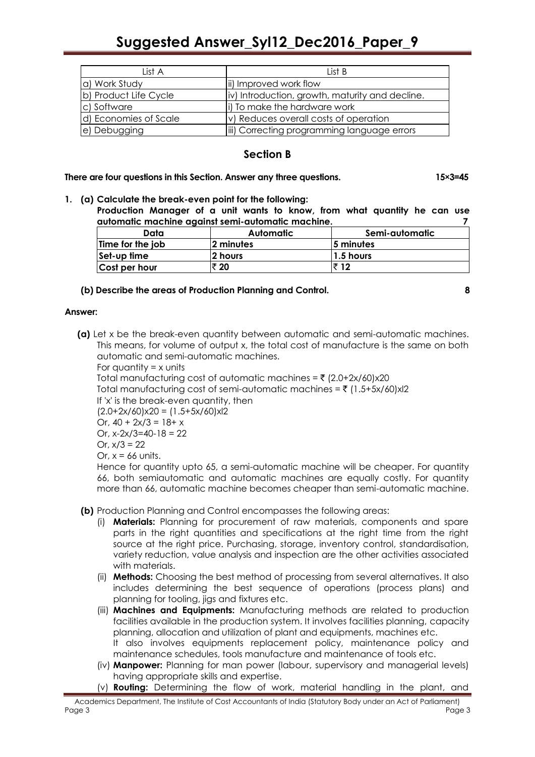| l ist A               | List B                                           |
|-----------------------|--------------------------------------------------|
| a) Work Study         | ii) Improved work flow                           |
| b) Product Life Cycle | (iv) Introduction, growth, maturity and decline. |
| c) Software           | i) To make the hardware work                     |
| d) Economies of Scale | v) Reduces overall costs of operation            |
| e) Debugging          | iii) Correcting programming language errors      |

#### **Section B**

**There are four questions in this Section. Answer any three questions.** 15×3=45

**1. (a) Calculate the break-even point for the following:**

**Production Manager of a unit wants to know, from what quantity he can use automatic machine against semi-automatic machine. 7**

| Data             | <b>Automatic</b> | Semi-automatic |
|------------------|------------------|----------------|
| Time for the job | 2 minutes        | 15 minutes     |
| Set-up time      | 2 hours          | $\,$ 1.5 hours |
| Cost per hour    | ₹ 20             | ₹ 12           |

#### **(b) Describe the areas of Production Planning and Control. 8**

#### **Answer:**

**(a)** Let x be the break-even quantity between automatic and semi-automatic machines. This means, for volume of output x, the total cost of manufacture is the same on both automatic and semi-automatic machines.

For quantity  $= x$  units

Total manufacturing cost of automatic machines =  $\bar{\tau}$  (2.0+2x/60)x20 Total manufacturing cost of semi-automatic machines =  $\bar{z}$  (1.5+5x/60)xl2 If 'x' is the break-even quantity, then  $(2.0+2x/60)x20 = (1.5+5x/60)x/2$ Or,  $40 + 2x/3 = 18 + x$ Or,  $x-2x/3=40-18=22$ Or,  $x/3 = 22$ 

Or,  $x = 66$  units.

Hence for quantity upto 65, a semi-automatic machine will be cheaper. For quantity 66, both semiautomatic and automatic machines are equally costly. For quantity more than 66, automatic machine becomes cheaper than semi-automatic machine.

- **(b)** Production Planning and Control encompasses the following areas:
	- (i) **Materials:** Planning for procurement of raw materials, components and spare parts in the right quantities and specifications at the right time from the right source at the right price. Purchasing, storage, inventory control, standardisation, variety reduction, value analysis and inspection are the other activities associated with materials.
	- (ii) **Methods:** Choosing the best method of processing from several alternatives. It also includes determining the best sequence of operations (process plans) and planning for tooling, jigs and fixtures etc.
	- (iii) **Machines and Equipments:** Manufacturing methods are related to production facilities available in the production system. It involves facilities planning, capacity planning, allocation and utilization of plant and equipments, machines etc. It also involves equipments replacement policy, maintenance policy and
		- maintenance schedules, tools manufacture and maintenance of tools etc.
	- (iv) **Manpower:** Planning for man power (labour, supervisory and managerial levels) having appropriate skills and expertise.
	- (v) **Routing:** Determining the flow of work, material handling in the plant, and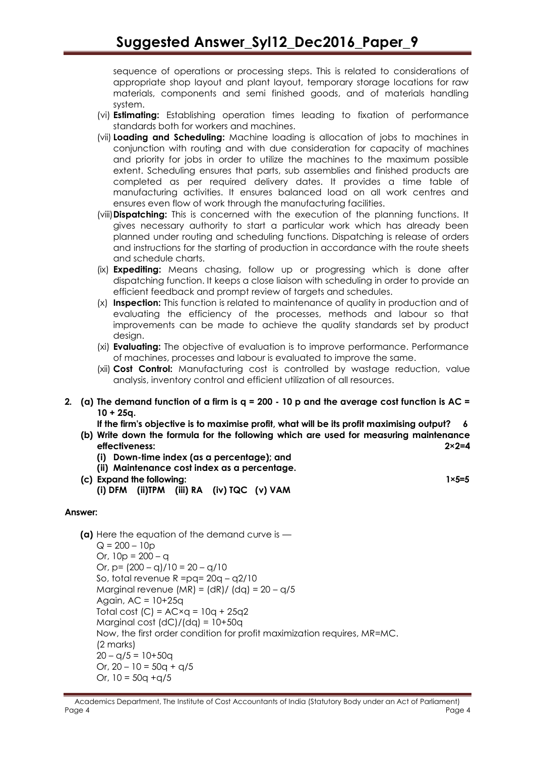sequence of operations or processing steps. This is related to considerations of appropriate shop layout and plant layout, temporary storage locations for raw materials, components and semi finished goods, and of materials handling system.

- (vi) **Estimating:** Establishing operation times leading to fixation of performance standards both for workers and machines.
- (vii) **Loading and Scheduling:** Machine loading is allocation of jobs to machines in conjunction with routing and with due consideration for capacity of machines and priority for jobs in order to utilize the machines to the maximum possible extent. Scheduling ensures that parts, sub assemblies and finished products are completed as per required delivery dates. It provides a time table of manufacturing activities. It ensures balanced load on all work centres and ensures even flow of work through the manufacturing facilities.
- (viii)**Dispatching:** This is concerned with the execution of the planning functions. It gives necessary authority to start a particular work which has already been planned under routing and scheduling functions. Dispatching is release of orders and instructions for the starting of production in accordance with the route sheets and schedule charts.
- (ix) **Expediting:** Means chasing, follow up or progressing which is done after dispatching function. It keeps a close liaison with scheduling in order to provide an efficient feedback and prompt review of targets and schedules.
- (x) **Inspection:** This function is related to maintenance of quality in production and of evaluating the efficiency of the processes, methods and labour so that improvements can be made to achieve the quality standards set by product desian.
- (xi) **Evaluating:** The objective of evaluation is to improve performance. Performance of machines, processes and labour is evaluated to improve the same.
- (xii) **Cost Control:** Manufacturing cost is controlled by wastage reduction, value analysis, inventory control and efficient utilization of all resources.
- **2. (a) The demand function of a firm is q = 200 - 10 p and the average cost function is AC = 10 + 25q.**

**If the firm's objective is to maximise profit, what will be its profit maximising output? 6**

- **(b) Write down the formula for the following which are used for measuring maintenance effectiveness: 2×2=4** 
	- **(i) Down-time index (as a percentage); and**
	- **(ii) Maintenance cost index as a percentage.**
- **(c) Expand the following: 1×5=5 (i) DFM (ii)TPM (iii) RA (iv) TQC (v) VAM**

#### **Answer:**

**(a)** Here the equation of the demand curve is —  $Q = 200 - 10p$ Or,  $10p = 200 - q$ Or,  $p = (200 - q)/10 = 20 - q/10$ So, total revenue R =pq= 20q – q2/10 Marginal revenue  $(MR) = (dR) / (dq) = 20 - q/5$ Again, AC = 10+25q Total cost  $(C) = AC \times q = 10q + 25q2$ Marginal cost  $(dC)/(dq) = 10+50q$ Now, the first order condition for profit maximization requires, MR=MC. (2 marks)  $20 - a/5 = 10+50a$ Or,  $20 - 10 = 50q + q/5$ Or,  $10 = 50q + q/5$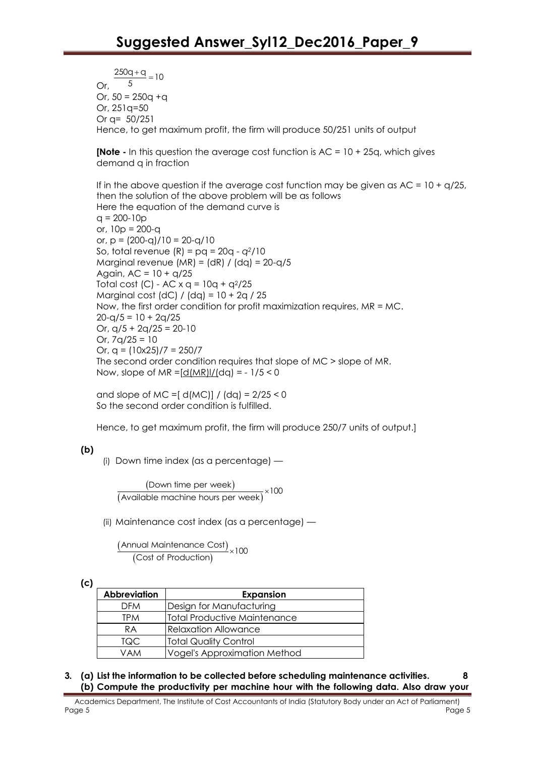Or,  $\frac{250q+q}{q} = 10$ 5 Or, 50 = 250q +q Or, 251q=50 Or q= 50/251 Hence, to get maximum profit, the firm will produce 50/251 units of output

**[Note -** In this question the average cost function is AC = 10 + 25q, which gives demand q in fraction

If in the above question if the average cost function may be given as  $AC = 10 + q/25$ , then the solution of the above problem will be as follows Here the equation of the demand curve is  $q = 200 - 10p$ or, 10p = 200-q or,  $p = (200-q)/10 = 20-q/10$ So, total revenue (R) = pq = 20q - *q2*/10 Marginal revenue  $(MR) = (dR) / (dq) = 20-q/5$ Again,  $AC = 10 + q/25$ Total cost (C) - AC  $x$  q = 10q + q $2/25$ Marginal cost (dC) / (dq) =  $10 + 2q / 25$ Now, the first order condition for profit maximization requires, MR = MC.  $20 - q/5 = 10 + 2q/25$ Or,  $q/5 + 2q/25 = 20-10$ Or, 7q/25 = 10 Or,  $q = (10x25)/7 = 250/7$ The second order condition requires that slope of MC > slope of MR. Now, slope of  $MR = [d(MR)]/(dq) = -1/5 < 0$ 

and slope of MC =  $\lceil d(MC) \rceil / (dq) = 2/25 < 0$ So the second order condition is fulfilled.

Hence, to get maximum profit, the firm will produce 250/7 units of output.]

#### **(b)**

(i) Down time index (as a percentage) —

 Down time per week (Available machine hours per week)<sup>×100</sup>

(ii) Maintenance cost index (as a percentage) —

 Annual Maintenance Cost 100 Cost of Production

**(c)**

| <b>Abbreviation</b> | <b>Expansion</b>             |
|---------------------|------------------------------|
| <b>DFM</b>          | Design for Manufacturing     |
| TPM                 | Total Productive Maintenance |
| RA                  | <b>Relaxation Allowance</b>  |
| TQC.                | Total Quality Control        |
| VAM                 | Vogel's Approximation Method |

#### **3. (a) List the information to be collected before scheduling maintenance activities. 8 (b) Compute the productivity per machine hour with the following data. Also draw your**

Academics Department, The Institute of Cost Accountants of India (Statutory Body under an Act of Parliament) Page 5 Page 5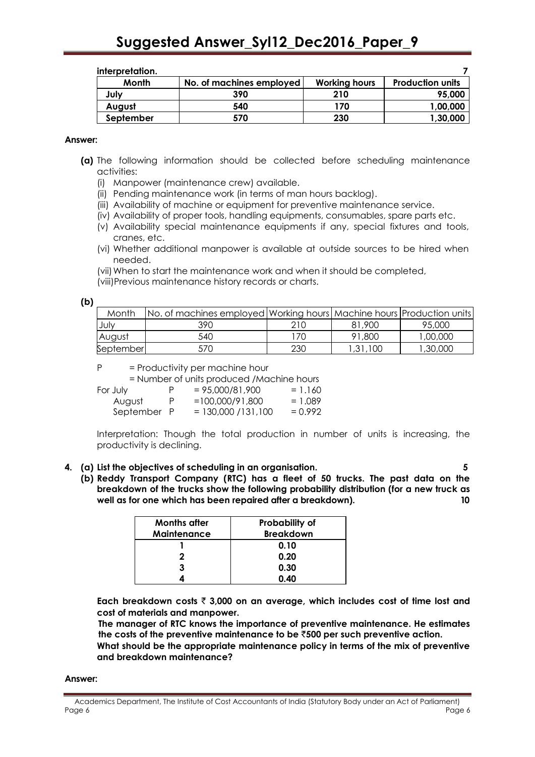| interpretation. |                          |                      |                         |
|-----------------|--------------------------|----------------------|-------------------------|
| Month           | No. of machines employed | <b>Working hours</b> | <b>Production units</b> |
| July            | 390                      | 210                  | 95,000                  |
| August          | 540                      | 170                  | 1,00,000                |
| September       | 570                      | 230                  | 1,30,000                |

#### **Answer:**

- **(a)** The following information should be collected before scheduling maintenance activities:
	- (i) Manpower (maintenance crew) available.
	- (ii) Pending maintenance work (in terms of man hours backlog).
	- (iii) Availability of machine or equipment for preventive maintenance service.
	- (iv) Availability of proper tools, handling equipments, consumables, spare parts etc.
	- (v) Availability special maintenance equipments if any, special fixtures and tools, cranes, etc.
	- (vi) Whether additional manpower is available at outside sources to be hired when needed.
	- (vii) When to start the maintenance work and when it should be completed,
	- (viii)Previous maintenance history records or charts.

#### **(b)**

| Month     | No. of machines employed   Working hours   Machine hours   Production units |      |          |          |
|-----------|-----------------------------------------------------------------------------|------|----------|----------|
| July      | 390                                                                         | 21 G | 81.900   | 95,000   |
| August    | 540                                                                         | 17C  | 91,800   | 1,00,000 |
| September | 570                                                                         | 230  | 1,31,100 | 1,30,000 |

P = Productivity per machine hour

|             |   | = Number of units produced / Machine hours |           |
|-------------|---|--------------------------------------------|-----------|
| For July    | P | $= 95.000/81.900$                          | $= 1.160$ |
| August      | P | $=100.000/91.800$                          | $= 1.089$ |
| September P |   | $= 130,000 / 131,100$                      | $= 0.992$ |

Interpretation: Though the total production in number of units is increasing, the productivity is declining.

- **4. (a) List the objectives of scheduling in an organisation. 5**
	- **(b) Reddy Transport Company (RTC) has a fleet of 50 trucks. The past data on the breakdown of the trucks show the following probability distribution (for a new truck as well as for one which has been repaired after a breakdown). 10**

| <b>Months after</b> | Probability of   |
|---------------------|------------------|
| Maintenance         | <b>Breakdown</b> |
|                     | 0.10             |
|                     | 0.20             |
| 3                   | 0.30             |
|                     | 0.40             |

**Each breakdown costs** ` **3,000 on an average, which includes cost of time lost and cost of materials and manpower.**

**The manager of RTC knows the importance of preventive maintenance. He estimates the costs of the preventive maintenance to be** `**500 per such preventive action.**

**What should be the appropriate maintenance policy in terms of the mix of preventive and breakdown maintenance?**

#### **Answer:**

Academics Department, The Institute of Cost Accountants of India (Statutory Body under an Act of Parliament) Page 6 Page 6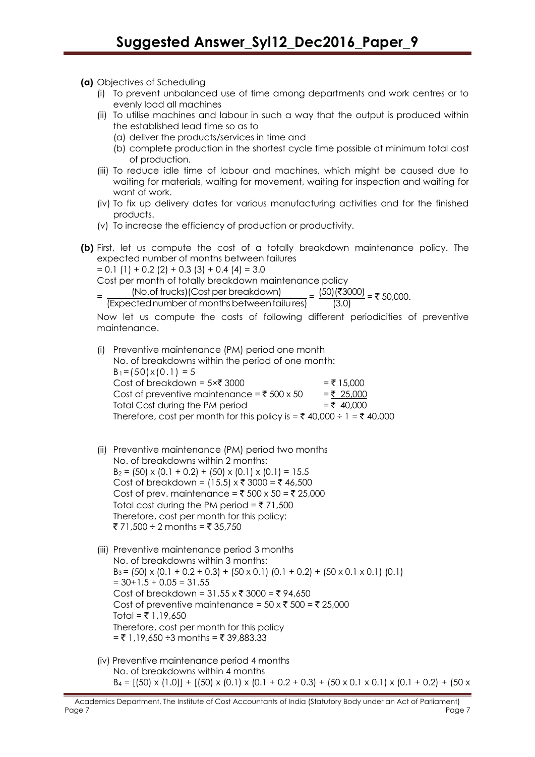- **(a)** Objectives of Scheduling
	- (i) To prevent unbalanced use of time among departments and work centres or to evenly load all machines
	- (ii) To utilise machines and labour in such a way that the output is produced within the established lead time so as to
		- (a) deliver the products/services in time and
		- (b) complete production in the shortest cycle time possible at minimum total cost of production.
	- (iii) To reduce idle time of labour and machines, which might be caused due to waiting for materials, waiting for movement, waiting for inspection and waiting for want of work.
	- (iv) To fix up delivery dates for various manufacturing activities and for the finished products.
	- (v) To increase the efficiency of production or productivity.
- **(b)** First, let us compute the cost of a totally breakdown maintenance policy. The expected number of months between failures

 $= 0.1 (1) + 0.2 (2) + 0.3 (3) + 0.4 (4) = 3.0$ 

Cost per month of totally breakdown maintenance policy

- = (No.of trucks)(Cost per breakdown)  $=\frac{(50)(\overline{3000})}{(2.8)}$  = ₹ 50,000.
	- (Expected number of months between failures) (3.0)

Now let us compute the costs of following different periodicities of preventive maintenance.

- (i) Preventive maintenance (PM) period one month No. of breakdowns within the period of one month:  $B_1 = (50)x(0.1) = 5$ Cost of breakdown =  $5 \times \bar{5}$  3000 = ₹ 15,000 Cost of preventive maintenance =  $\overline{5}$  500 x 50 =  $\overline{5}$  25,000 Total Cost during the PM period  $=$   $\bar{\tau}$  40,000 Therefore, cost per month for this policy is =  $\bar{\tau}$  40,000 ÷ 1 =  $\bar{\tau}$  40,000
- (ii) Preventive maintenance (PM) period two months No. of breakdowns within 2 months:  $B_2 = (50) \times (0.1 + 0.2) + (50) \times (0.1) \times (0.1) = 15.5$ Cost of breakdown = (15.5)  $\times$  ₹ 3000 = ₹ 46,500 Cost of prev. maintenance =  $\bar{\tau}$  500 x 50 =  $\bar{\tau}$  25,000 Total cost during the PM period =  $\overline{5}$  71,500 Therefore, cost per month for this policy: ₹ 71,500 ÷ 2 months = ₹ 35,750
- (iii) Preventive maintenance period 3 months No. of breakdowns within 3 months:  $B_3 = (50) \times (0.1 + 0.2 + 0.3) + (50 \times 0.1) (0.1 + 0.2) + (50 \times 0.1 \times 0.1) (0.1)$  $= 30+1.5 + 0.05 = 31.55$ Cost of breakdown =  $31.55 \times \frac{3000}{500} = 294.650$ Cost of preventive maintenance =  $50 \times \overline{5}$  500 =  $\overline{5}$  25,000 Total = ₹ 1,19,650 Therefore, cost per month for this policy  $=$  ₹ 1,19,650 ÷3 months = ₹ 39,883.33
- (iv) Preventive maintenance period 4 months No. of breakdowns within 4 months  $B_4 = \left[ (50) \times (1.0) \right] + \left[ (50) \times (0.1) \times (0.1 + 0.2 + 0.3) + (50 \times 0.1 \times 0.1) \times (0.1 + 0.2) + (50 \times 0.1 \times 0.1) \right]$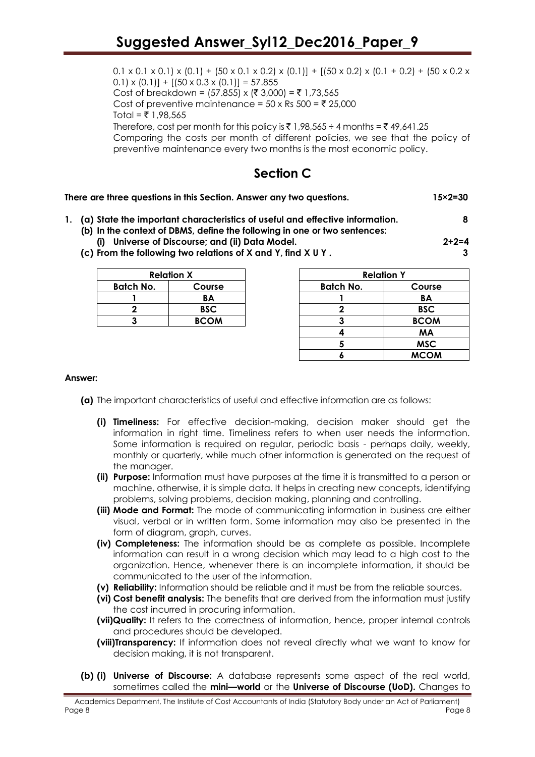$0.1 \times 0.1 \times 0.1$ )  $\times$  (0.1) + (50  $\times$  0.1  $\times$  0.2)  $\times$  (0.1)] + [(50  $\times$  0.2)  $\times$  (0.1 + 0.2) + (50  $\times$  0.2  $\times$  $(0.1) \times (0.1)$ ] +  $(50 \times 0.3 \times (0.1))$  = 57.855 Cost of breakdown =  $(57.855) \times (7 \cdot 3,000) = 7 \cdot 1,73,565$ Cost of preventive maintenance =  $50 \times$  Rs  $500 = ₹ 25,000$ Total = ₹ 1,98,565 Therefore, cost per month for this policy is  $\bar{\tau}$  1,98,565 ÷ 4 months =  $\bar{\tau}$  49,641.25 Comparing the costs per month of different policies, we see that the policy of preventive maintenance every two months is the most economic policy.

### **Section C**

| There are three questions in this Section. Answer any two questions.            | $15 \times 2 = 30$ |
|---------------------------------------------------------------------------------|--------------------|
| 1. (a) State the important characteristics of useful and effective information. |                    |
| (b) In the context of DBMS, define the following in one or two sentences:       |                    |
| (i) Universe of Discourse; and (ii) Data Model.                                 | $2 + 2 = 4$        |

**(c) From the following two relations of X and Y, find X U Y . 3**

| <b>Relation X</b> |             |  |
|-------------------|-------------|--|
| <b>Batch No.</b>  | Course      |  |
|                   | BА          |  |
|                   | <b>BSC</b>  |  |
|                   | <b>BCOM</b> |  |

| <b>Relation X</b> |             |                  | <b>Relation Y</b> |
|-------------------|-------------|------------------|-------------------|
| Batch No.         | Course      | <b>Batch No.</b> | Course            |
|                   | BA          |                  | BA                |
|                   | <b>BSC</b>  |                  | <b>BSC</b>        |
|                   | <b>BCOM</b> |                  | <b>BCOM</b>       |
|                   |             |                  | МA                |
|                   |             |                  | <b>MSC</b>        |
|                   |             |                  | <b>MCOM</b>       |

#### **Answer:**

- **(a)** The important characteristics of useful and effective information are as follows:
	- **(i) Timeliness:** For effective decision-making, decision maker should get the information in right time. Timeliness refers to when user needs the information. Some information is required on regular, periodic basis - perhaps daily, weekly, monthly or quarterly, while much other information is generated on the request of the manager.
	- **(ii) Purpose:** Information must have purposes at the time it is transmitted to a person or machine, otherwise, it is simple data. It helps in creating new concepts, identifying problems, solving problems, decision making, planning and controlling.
	- **(iii) Mode and Format:** The mode of communicating information in business are either visual, verbal or in written form. Some information may also be presented in the form of diagram, graph, curves.
	- **(iv) Completeness:** The information should be as complete as possible. Incomplete information can result in a wrong decision which may lead to a high cost to the organization. Hence, whenever there is an incomplete information, it should be communicated to the user of the information.
	- **(v) Reliability:** Information should be reliable and it must be from the reliable sources.
	- **(vi) Cost benefit analysis:** The benefits that are derived from the information must justify the cost incurred in procuring information.
	- **(vii)Quality:** It refers to the correctness of information, hence, proper internal controls and procedures should be developed.
	- **(viii)Transparency:** If information does not reveal directly what we want to know for decision making, it is not transparent.
- **(b) (i) Universe of Discourse:** A database represents some aspect of the real world, sometimes called the **mini—world** or the **Universe of Discourse (UoD).** Changes to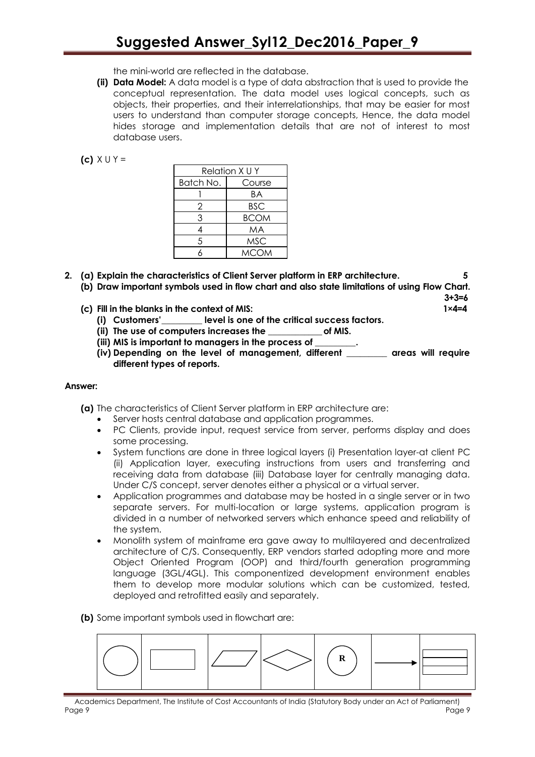the mini-world are reflected in the database.

**(ii) Data Model:** A data model is a type of data abstraction that is used to provide the conceptual representation. The data model uses logical concepts, such as objects, their properties, and their interrelationships, that may be easier for most users to understand than computer storage concepts, Hence, the data model hides storage and implementation details that are not of interest to most database users.

**(c)** X U Y =

| Relation X U Y |             |  |
|----------------|-------------|--|
| Batch No.      | Course      |  |
|                | ВA          |  |
| 2              | <b>BSC</b>  |  |
| 3              | <b>BCOM</b> |  |
| 4              | МA          |  |
| 5              | <b>MSC</b>  |  |
| 6              | <b>MCOM</b> |  |
|                |             |  |

**2. (a) Explain the characteristics of Client Server platform in ERP architecture. 5**

**(b) Draw important symbols used in flow chart and also state limitations of using Flow Chart.**

 **3+3=6**

- **(c) Fill in the blanks in the context of MIS: 1×4=4**
	- **(i) Customers'\_\_\_\_\_\_\_\_\_ level is one of the critical success factors.**
	- **(ii) The use of computers increases the \_\_\_\_\_\_\_\_\_\_\_\_of MIS.**
	- **(iii) MIS is important to managers in the process of \_\_\_\_\_\_\_\_\_.**
	- **(iv) Depending on the level of management, different \_\_\_\_\_\_\_\_\_ areas will require different types of reports.**

#### **Answer:**

**(a)** The characteristics of Client Server platform in ERP architecture are:

- Server hosts central database and application programmes.
- PC Clients, provide input, request service from server, performs display and does some processing.
- System functions are done in three logical layers (i) Presentation layer-at client PC (ii) Application layer, executing instructions from users and transferring and receiving data from database (iii) Database layer for centrally managing data. Under C/S concept, server denotes either a physical or a virtual server.
- Application programmes and database may be hosted in a single server or in two separate servers. For multi-location or large systems, application program is divided in a number of networked servers which enhance speed and reliability of the system.
- Monolith system of mainframe era gave away to multilayered and decentralized architecture of C/S. Consequently, ERP vendors started adopting more and more Object Oriented Program (OOP) and third/fourth generation programming language (3GL/4GL). This componentized development environment enables them to develop more modular solutions which can be customized, tested, deployed and retrofitted easily and separately.

**(b)** Some important symbols used in flowchart are:



Academics Department, The Institute of Cost Accountants of India (Statutory Body under an Act of Parliament) Page 9 Page 9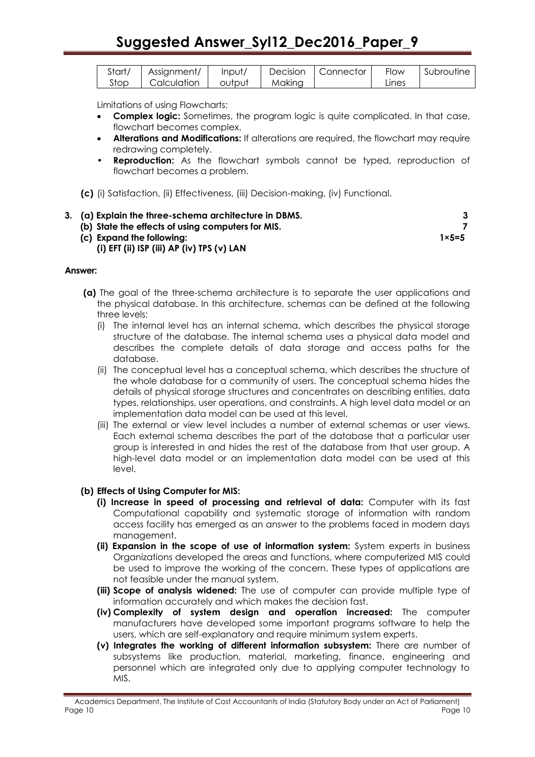| Start/ | Assianment/ | Input/ | Decision | Connector | Flow  | Subroutine |
|--------|-------------|--------|----------|-----------|-------|------------|
| Stop   | Calculation | output | Makina   |           | Lınes |            |

Limitations of using Flowcharts:

- **Complex logic:** Sometimes, the program logic is quite complicated. In that case, flowchart becomes complex.
- **Alterations and Modifications:** If alterations are required, the flowchart may require redrawing completely.
- **Reproduction:** As the flowchart symbols cannot be typed, reproduction of flowchart becomes a problem.
- **(c)** (i) Satisfaction, (ii) Effectiveness, (iii) Decision-making, (iv) Functional.
- **3. (a) Explain the three-schema architecture in DBMS. 3**
	- **(b) State the effects of using computers for MIS. 7**
	- **(c) Expand the following: 1×5=5**
		- **(i) EFT (ii) ISP (iii) AP (iv) TPS (v) LAN**

**Answer:**

- **(a)** The goal of the three-schema architecture is to separate the user applications and the physical database. In this architecture, schemas can be defined at the following three levels:
	- (i) The internal level has an internal schema, which describes the physical storage structure of the database. The internal schema uses a physical data model and describes the complete details of data storage and access paths for the database.
	- (ii) The conceptual level has a conceptual schema, which describes the structure of the whole database for a community of users. The conceptual schema hides the details of physical storage structures and concentrates on describing entities, data types, relationships, user operations, and constraints. A high level data model or an implementation data model can be used at this level.
	- (iii) The external or view level includes a number of external schemas or user views. Each external schema describes the part of the database that a particular user group is interested in and hides the rest of the database from that user group. A high-level data model or an implementation data model can be used at this level.

#### **(b) Effects of Using Computer for MIS:**

- **(i) Increase in speed of processing and retrieval of data:** Computer with its fast Computational capability and systematic storage of information with random access facility has emerged as an answer to the problems faced in modern days management.
- **(ii) Expansion in the scope of use of information system:** System experts in business Organizations developed the areas and functions, where computerized MIS could be used to improve the working of the concern. These types of applications are not feasible under the manual system.
- **(iii) Scope of analysis widened:** The use of computer can provide multiple type of information accurately and which makes the decision fast.
- **(iv) Complexity of system design and operation increased:** The computer manufacturers have developed some important programs software to help the users, which are self-explanatory and require minimum system experts.
- **(v) Integrates the working of different information subsystem:** There are number of subsystems like production, material, marketing, finance, engineering and personnel which are integrated only due to applying computer technology to MIS.